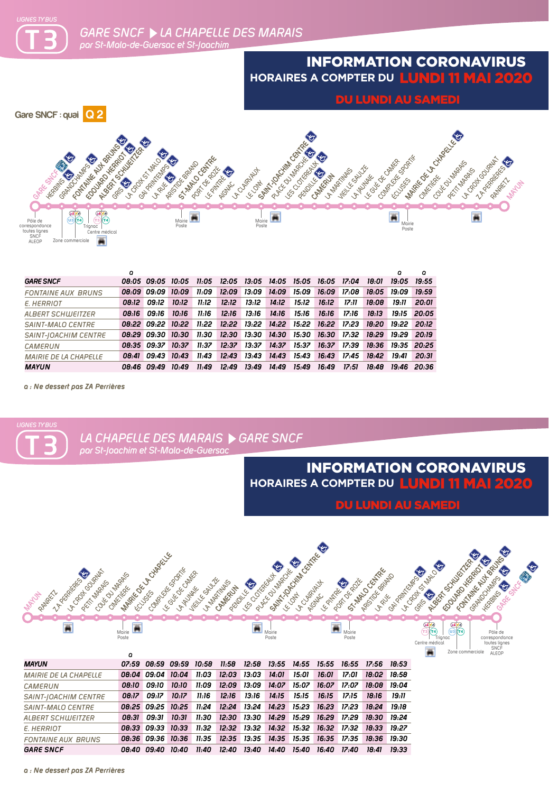

## INFORMATION CORONAVIRUS **HORAIRES A COMPTER DU** LUNDI 11 MAI 2020

DU LUNDI AU SAMEDI



|                              | o |                                                                               |       |       |       |                 |       |                                                                      |       |             |             |                   | n               |
|------------------------------|---|-------------------------------------------------------------------------------|-------|-------|-------|-----------------|-------|----------------------------------------------------------------------|-------|-------------|-------------|-------------------|-----------------|
| <b>GARE SNCF</b>             |   | 08:05  09:05  10:05  11:05  12:05  13:05  14:05  15:05  16:05  17:04          |       |       |       |                 |       |                                                                      |       |             | 18:01       | 19:05             | 19.55           |
| <b>FONTAINE AUX BRUNS</b>    |   | 08:09 09:09 10:09                                                             |       | 11:09 |       |                 |       |                                                                      |       |             | 18:05 19:09 |                   | 19:59           |
| E. HERRIOT                   |   | 08:12 09:12                                                                   | 10:12 | 11:12 | 12:12 | 13:12           | 14:12 | 15:12                                                                | 16:12 | 17:11       | 18:08       | 19.11             | 20:01           |
| <b>ALBERT SCHWEITZER</b>     |   | 08:16 09:16                                                                   | 10:16 | 11:16 | 12:16 | 13:16           | 14:16 | 15.16                                                                | 16:16 | 17:16       | 18:13       |                   | $19.15$ $20.05$ |
| SAINT-MALO CENTRE            |   | 08:22 09:22 10:22 11:22 12:22 13:22 14:22 15:22 16:22 17:23 18:20 19:22 20:12 |       |       |       |                 |       |                                                                      |       |             |             |                   |                 |
| <b>SAINT-JOACHIM CENTRE</b>  |   | 08:29 09:30 10:30                                                             |       |       |       |                 |       | 11:30  12:30  13:30  14:30  15:30  16:30  17:32  18:29  19:29  20:19 |       |             |             |                   |                 |
| CAMERUN                      |   | 08:35 09:37 10:37                                                             |       | 11.37 |       | $12:37$ $13:37$ |       | 14:37 15:37 16:37 17:39                                              |       |             |             | 18:36 19:35 20:25 |                 |
| <b>MAIRIE DE LA CHAPELLE</b> |   | 08:41 09:43 10:43                                                             |       | 11:43 | 12:43 | 13:43           |       | 14:43 15:43                                                          |       | 16:43 17:45 | 18:42       | 19.41             | 20:31           |
| <b>MAYUN</b>                 |   | 08:46 09:49                                                                   | 10:49 | 11:49 | 12:49 | 13:49           | 14:49 | 15:49                                                                | 16:49 | 17:51       | 18:48       |                   | 19:46 20:36     |

*a : Ne dessert pas ZA Perrières*



*a : Ne dessert pas ZA Perrières*